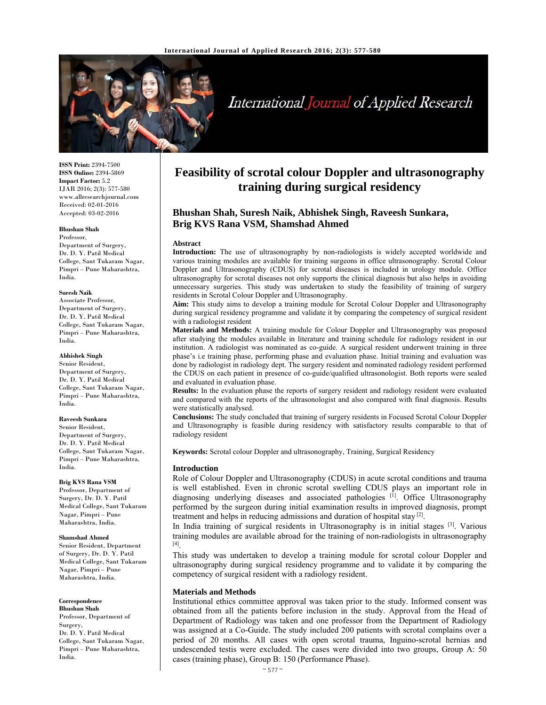

# International Journal of Applied Research

**ISSN Print:** 2394-7500 **ISSN Online:** 2394-5869 **Impact Factor:** 5.2 IJAR 2016; 2(3): 577-580 www.allresearchjournal.com Received: 02-01-2016 Accepted: 03-02-2016

#### **Bhushan Shah**

Professor, Department of Surgery, Dr. D. Y. Patil Medical College, Sant Tukaram Nagar, Pimpri – Pune Maharashtra, India.

#### **Suresh Naik**

Associate Professor, Department of Surgery, Dr. D. Y. Patil Medical College, Sant Tukaram Nagar, Pimpri – Pune Maharashtra, India.

#### **Abhishek Singh**

Senior Resident, Department of Surgery, Dr. D. Y. Patil Medical College, Sant Tukaram Nagar, Pimpri – Pune Maharashtra, India.

#### **Raveesh Sunkara**

Senior Resident, Department of Surgery, Dr. D. Y. Patil Medical College, Sant Tukaram Nagar, Pimpri – Pune Maharashtra, India.

## **Brig KVS Rana VSM**

Professor, Department of Surgery, Dr. D. Y. Patil Medical College, Sant Tukaram Nagar, Pimpri – Pune Maharashtra, India.

#### **Shamshad Ahmed**

Senior Resident, Department of Surgery, Dr. D. Y. Patil Medical College, Sant Tukaram Nagar, Pimpri – Pune Maharashtra, India.

#### **Correspondence**

**Bhushan Shah**  Professor, Department of Surgery, Dr. D. Y. Patil Medical College, Sant Tukaram Nagar, Pimpri – Pune Maharashtra, India.

# **Feasibility of scrotal colour Doppler and ultrasonography training during surgical residency**

# **Bhushan Shah, Suresh Naik, Abhishek Singh, Raveesh Sunkara, Brig KVS Rana VSM, Shamshad Ahmed**

#### **Abstract**

**Introduction:** The use of ultrasonography by non-radiologists is widely accepted worldwide and various training modules are available for training surgeons in office ultrasonography. Scrotal Colour Doppler and Ultrasonography (CDUS) for scrotal diseases is included in urology module. Office ultrasonography for scrotal diseases not only supports the clinical diagnosis but also helps in avoiding unnecessary surgeries. This study was undertaken to study the feasibility of training of surgery residents in Scrotal Colour Doppler and Ultrasonography.

**Aim:** This study aims to develop a training module for Scrotal Colour Doppler and Ultrasonography during surgical residency programme and validate it by comparing the competency of surgical resident with a radiologist resident

**Materials and Methods:** A training module for Colour Doppler and Ultrasonography was proposed after studying the modules available in literature and training schedule for radiology resident in our institution. A radiologist was nominated as co-guide. A surgical resident underwent training in three phase's i.e training phase, performing phase and evaluation phase. Initial training and evaluation was done by radiologist in radiology dept. The surgery resident and nominated radiology resident performed the CDUS on each patient in presence of co-guide/qualified ultrasonologist. Both reports were sealed and evaluated in evaluation phase.

**Results:** In the evaluation phase the reports of surgery resident and radiology resident were evaluated and compared with the reports of the ultrasonologist and also compared with final diagnosis. Results were statistically analysed.

**Conclusions:** The study concluded that training of surgery residents in Focused Scrotal Colour Doppler and Ultrasonography is feasible during residency with satisfactory results comparable to that of radiology resident

**Keywords:** Scrotal colour Doppler and ultrasonography, Training, Surgical Residency

#### **Introduction**

Role of Colour Doppler and Ultrasonography (CDUS) in acute scrotal conditions and trauma is well established. Even in chronic scrotal swelling CDUS plays an important role in diagnosing underlying diseases and associated pathologies [1]. Office Ultrasonography performed by the surgeon during initial examination results in improved diagnosis, prompt treatment and helps in reducing admissions and duration of hospital stay  $[2]$ .

In India training of surgical residents in Ultrasonography is in initial stages <sup>[3]</sup>. Various training modules are available abroad for the training of non-radiologists in ultrasonography [4].

This study was undertaken to develop a training module for scrotal colour Doppler and ultrasonography during surgical residency programme and to validate it by comparing the competency of surgical resident with a radiology resident.

#### **Materials and Methods**

Institutional ethics committee approval was taken prior to the study. Informed consent was obtained from all the patients before inclusion in the study. Approval from the Head of Department of Radiology was taken and one professor from the Department of Radiology was assigned at a Co-Guide. The study included 200 patients with scrotal complains over a period of 20 months. All cases with open scrotal trauma, Inguino-scrotal hernias and undescended testis were excluded. The cases were divided into two groups, Group A: 50 cases (training phase), Group B: 150 (Performance Phase).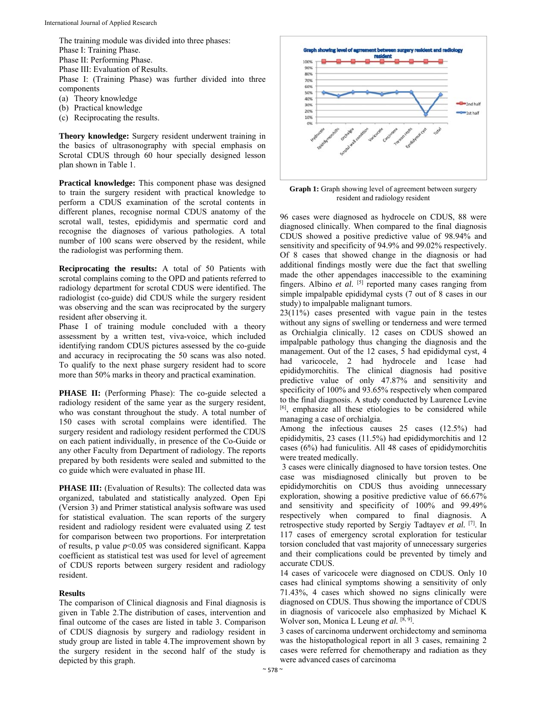The training module was divided into three phases: Phase I: Training Phase. Phase II: Performing Phase. Phase III: Evaluation of Results. Phase I: (Training Phase) was further divided into three components

- (a) Theory knowledge
- (b) Practical knowledge
- (c) Reciprocating the results.

**Theory knowledge:** Surgery resident underwent training in the basics of ultrasonography with special emphasis on Scrotal CDUS through 60 hour specially designed lesson plan shown in Table 1.

**Practical knowledge:** This component phase was designed to train the surgery resident with practical knowledge to perform a CDUS examination of the scrotal contents in different planes, recognise normal CDUS anatomy of the scrotal wall, testes, epididymis and spermatic cord and recognise the diagnoses of various pathologies. A total number of 100 scans were observed by the resident, while the radiologist was performing them.

**Reciprocating the results:** A total of 50 Patients with scrotal complains coming to the OPD and patients referred to radiology department for scrotal CDUS were identified. The radiologist (co-guide) did CDUS while the surgery resident was observing and the scan was reciprocated by the surgery resident after observing it.

Phase I of training module concluded with a theory assessment by a written test, viva-voice, which included identifying random CDUS pictures assessed by the co-guide and accuracy in reciprocating the 50 scans was also noted. To qualify to the next phase surgery resident had to score more than 50% marks in theory and practical examination.

**PHASE II:** (Performing Phase): The co-guide selected a radiology resident of the same year as the surgery resident, who was constant throughout the study. A total number of 150 cases with scrotal complains were identified. The surgery resident and radiology resident performed the CDUS on each patient individually, in presence of the Co-Guide or any other Faculty from Department of radiology. The reports prepared by both residents were sealed and submitted to the co guide which were evaluated in phase III.

**PHASE III:** (Evaluation of Results): The collected data was organized, tabulated and statistically analyzed. Open Epi (Version 3) and Primer statistical analysis software was used for statistical evaluation. The scan reports of the surgery resident and radiology resident were evaluated using Z test for comparison between two proportions. For interpretation of results, p value *p*<0.05 was considered significant. Kappa coefficient as statistical test was used for level of agreement of CDUS reports between surgery resident and radiology resident.

#### **Results**

The comparison of Clinical diagnosis and Final diagnosis is given in Table 2.The distribution of cases, intervention and final outcome of the cases are listed in table 3. Comparison of CDUS diagnosis by surgery and radiology resident in study group are listed in table 4.The improvement shown by the surgery resident in the second half of the study is depicted by this graph.



**Graph 1:** Graph showing level of agreement between surgery resident and radiology resident

96 cases were diagnosed as hydrocele on CDUS, 88 were diagnosed clinically. When compared to the final diagnosis CDUS showed a positive predictive value of 98.94% and sensitivity and specificity of 94.9% and 99.02% respectively. Of 8 cases that showed change in the diagnosis or had additional findings mostly were due the fact that swelling made the other appendages inaccessible to the examining fingers. Albino *et al.* [5] reported many cases ranging from simple impalpable epididymal cysts (7 out of 8 cases in our study) to impalpable malignant tumors.

23(11%) cases presented with vague pain in the testes without any signs of swelling or tenderness and were termed as Orchialgia clinically. 12 cases on CDUS showed an impalpable pathology thus changing the diagnosis and the management. Out of the 12 cases, 5 had epididymal cyst, 4 had varicocele, 2 had hydrocele and 1case had epididymorchitis. The clinical diagnosis had positive predictive value of only 47.87% and sensitivity and specificity of 100% and 93.65% respectively when compared to the final diagnosis. A study conducted by Laurence Levine [6], emphasize all these etiologies to be considered while managing a case of orchialgia.

Among the infectious causes 25 cases (12.5%) had epididymitis, 23 cases (11.5%) had epididymorchitis and 12 cases (6%) had funiculitis. All 48 cases of epididymorchitis were treated medically.

 3 cases were clinically diagnosed to have torsion testes. One case was misdiagnosed clinically but proven to be epididymorchitis on CDUS thus avoiding unnecessary exploration, showing a positive predictive value of 66.67% and sensitivity and specificity of 100% and 99.49% respectively when compared to final diagnosis. A retrospective study reported by Sergiy Tadtayev *et al.* [7]. In 117 cases of emergency scrotal exploration for testicular torsion concluded that vast majority of unnecessary surgeries and their complications could be prevented by timely and accurate CDUS.

14 cases of varicocele were diagnosed on CDUS. Only 10 cases had clinical symptoms showing a sensitivity of only 71.43%, 4 cases which showed no signs clinically were diagnosed on CDUS. Thus showing the importance of CDUS in diagnosis of varicocele also emphasized by Michael K Wolver son, Monica L Leung et al. [8, 9].

3 cases of carcinoma underwent orchidectomy and seminoma was the histopathological report in all 3 cases, remaining 2 cases were referred for chemotherapy and radiation as they were advanced cases of carcinoma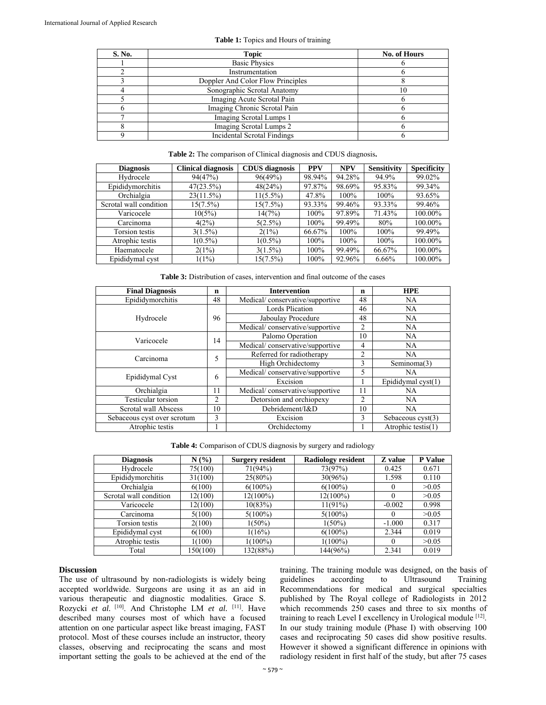| S. No. | <b>Topic</b>                       | No. of Hours |
|--------|------------------------------------|--------------|
|        | <b>Basic Physics</b>               |              |
|        | Instrumentation                    |              |
|        | Doppler And Color Flow Principles  |              |
|        | Sonographic Scrotal Anatomy        | $\Omega$     |
|        | Imaging Acute Scrotal Pain         |              |
|        | Imaging Chronic Scrotal Pain       |              |
|        | Imaging Scrotal Lumps 1            |              |
|        | Imaging Scrotal Lumps 2            |              |
|        | <b>Incidental Scrotal Findings</b> |              |

#### **Table 1:** Topics and Hours of training

#### **Table 2:** The comparison of Clinical diagnosis and CDUS diagnosis**.**

| <b>Diagnosis</b>       | <b>Clinical diagnosis</b> | <b>CDUS</b> diagnosis | <b>PPV</b> | <b>NPV</b> | <b>Sensitivity</b> | <b>Specificity</b> |
|------------------------|---------------------------|-----------------------|------------|------------|--------------------|--------------------|
| Hydrocele              | 94(47%)                   | 96(49%)               | 98.94%     | 94.28%     | 94.9%              | 99.02%             |
| Epididymorchitis       | 47(23.5%)                 | 48(24%)               | 97.87%     | 98.69%     | 95.83%             | 99.34%             |
| Orchialgia             | 23(11.5%)                 | $11(5.5\%)$           | 47.8%      | 100%       | 100%               | 93.65%             |
| Scrotal wall condition | $15(7.5\%)$               | $15(7.5\%)$           | 93.33%     | 99.46%     | 93.33%             | 99.46%             |
| Varicocele             | 10(5%)                    | 14(7%)                | 100%       | 97.89%     | 71.43%             | 100.00%            |
| Carcinoma              | 4(2%)                     | $5(2.5\%)$            | 100%       | 99.49%     | 80%                | 100.00%            |
| Torsion testis         | $3(1.5\%)$                | 2(1%)                 | 66.67%     | 100%       | 100%               | 99.49%             |
| Atrophic testis        | $1(0.5\%)$                | $1(0.5\%)$            | 100%       | 100%       | 100%               | 100.00%            |
| Haematocele            | 2(1%)                     | $3(1.5\%)$            | 100%       | 99.49%     | 66.67%             | 100.00%            |
| Epididymal cyst        | $1(1\%)$                  | $15(7.5\%)$           | 100%       | 92.96%     | $6.66\%$           | 100.00%            |

**Table 3:** Distribution of cases, intervention and final outcome of the cases

| <b>Final Diagnosis</b>           |                | <b>Intervention</b>             |                | <b>HPE</b>                 |  |
|----------------------------------|----------------|---------------------------------|----------------|----------------------------|--|
| Epididymorchitis                 | 48             | Medical/conservative/supportive |                | NA.                        |  |
|                                  | 96             | <b>Lords Plication</b>          |                | <b>NA</b>                  |  |
| Hydrocele                        |                | Jaboulay Procedure              |                | <b>NA</b>                  |  |
|                                  |                | Medical/conservative/supportive | 2              | <b>NA</b>                  |  |
| Varicocele                       | 14             | Palomo Operation                |                | NA.                        |  |
|                                  |                | Medical/conservative/supportive | 4              | NA.                        |  |
| Carcinoma                        | 5              | Referred for radiotherapy       |                | <b>NA</b>                  |  |
|                                  |                | High Orchidectomy               | 3              | Seminoma(3)                |  |
| Epididymal Cyst                  | 6              | Medical/conservative/supportive |                | NA.                        |  |
|                                  |                | Excision                        |                | Epididymal cyst(1)         |  |
| Orchialgia                       | 11             | Medical/conservative/supportive | 11             | <b>NA</b>                  |  |
| Testicular torsion               | $\mathfrak{D}$ | Detorsion and orchiopexy        | $\overline{c}$ | NA.                        |  |
| Scrotal wall Abscess             | 10             | Debridement/I&D                 | 10             | <b>NA</b>                  |  |
| 3<br>Sebaceous cyst over scrotum |                | Excision                        | 3              | Sebaceous $\text{cyst}(3)$ |  |
| Atrophic testis                  |                | Orchidectomy                    |                | Atrophic testis(1)         |  |

**Table 4:** Comparison of CDUS diagnosis by surgery and radiology

| <b>Diagnosis</b>       | N(%)     | <b>Surgery resident</b> | <b>Radiology resident</b> | Z value  | <b>P</b> Value |
|------------------------|----------|-------------------------|---------------------------|----------|----------------|
| Hydrocele              | 75(100)  | 71(94%)                 | 73(97%)                   | 0.425    | 0.671          |
| Epididymorchitis       | 31(100)  | $25(80\%)$              | 30(96%)                   | 1.598    | 0.110          |
| Orchialgia             | 6(100)   | $6(100\%)$              | $6(100\%)$                | $\theta$ | >0.05          |
| Scrotal wall condition | 12(100)  | 12(100%)                | $12(100\%)$               | $\Omega$ | >0.05          |
| Varicocele             | 12(100)  | 10(83%)                 | 11(91%)                   | $-0.002$ | 0.998          |
| Carcinoma              | 5(100)   | $5(100\%)$              | $5(100\%)$                | $\Omega$ | >0.05          |
| Torsion testis         | 2(100)   | $1(50\%)$               | $1(50\%)$                 | $-1.000$ | 0.317          |
| Epididymal cyst        | 6(100)   | 1(16%)                  | $6(100\%)$                | 2.344    | 0.019          |
| Atrophic testis        | 1(100)   | $1(100\%)$              | $1(100\%)$                | $\theta$ | >0.05          |
| Total                  | 150(100) | 132(88%)                | 144(96%)                  | 2.341    | 0.019          |

#### **Discussion**

The use of ultrasound by non-radiologists is widely being accepted worldwide. Surgeons are using it as an aid in various therapeutic and diagnostic modalities. Grace S. Rozycki *et al.* <sup>[10]</sup>. And Christophe LM *et al.* <sup>[11]</sup>. Have described many courses most of which have a focused attention on one particular aspect like breast imaging, FAST protocol. Most of these courses include an instructor, theory classes, observing and reciprocating the scans and most important setting the goals to be achieved at the end of the

training. The training module was designed, on the basis of guidelines according to Ultrasound Training Recommendations for medical and surgical specialties published by The Royal college of Radiologists in 2012 which recommends 250 cases and three to six months of training to reach Level I excellency in Urological module [12]. In our study training module (Phase I) with observing 100 cases and reciprocating 50 cases did show positive results. However it showed a significant difference in opinions with radiology resident in first half of the study, but after 75 cases